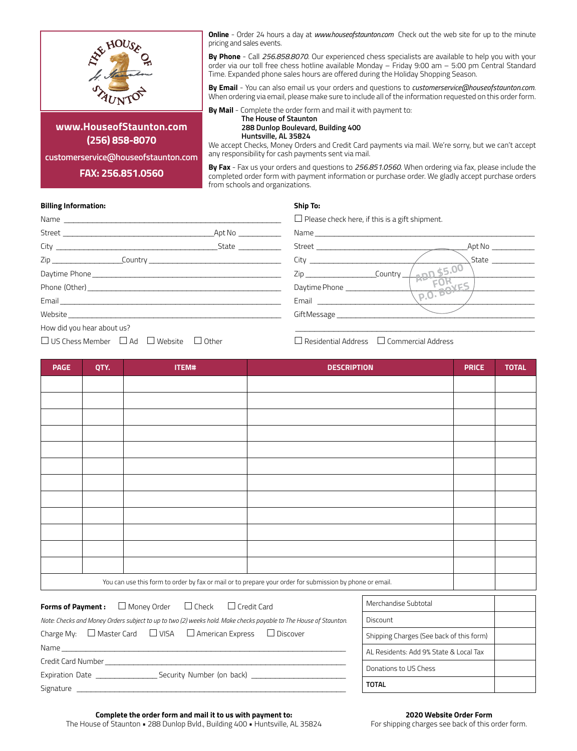

**www.HouseofStaunton.com (256) 858-8070**

**customerservice@houseofstaunton.com**

**FAX: 256.851.0560**

**Online** - Order 24 hours a day at *www.houseofstaunton.com* Check out the web site for up to the minute pricing and sales events.

**By Phone** - Call *256.858.8070*. Our experienced chess specialists are available to help you with your order via our toll free chess hotline available Monday – Friday 9:00 am – 5:00 pm Central Standard Time. Expanded phone sales hours are offered during the Holiday Shopping Season.

**By Email** - You can also email us your orders and questions to *customerservice@houseofstaunton.com*. When ordering via email, please make sure to include all of the information requested on this order form.

**By Mail** - Complete the order form and mail it with payment to:

**The House of Staunton 288 Dunlop Boulevard, Building 400**

**Huntsville, AL 35824**

We accept Checks, Money Orders and Credit Card payments via mail. We're sorry, but we can't accept any responsibility for cash payments sent via mail.

**By Fax** - Fax us your orders and questions to *256.851.0560*. When ordering via fax, please include the completed order form with payment information or purchase order. We gladly accept purchase orders from schools and organizations.

# **Billing Information:**

# **Ship To:**

| Name and the state of the state of the state of the state of the state of the state of the state of the state of the state of the state of the state of the state of the state of the state of the state of the state of the s       |              | $\Box$ Please check here, if this is a gift shipment.                                                                                                                                                                          |
|--------------------------------------------------------------------------------------------------------------------------------------------------------------------------------------------------------------------------------------|--------------|--------------------------------------------------------------------------------------------------------------------------------------------------------------------------------------------------------------------------------|
| Street and the street of the street and the street of the street of the street of the street of the street of                                                                                                                        | Apt No       | Name and the state of the state of the state of the state of the state of the state of the state of the state of the state of the state of the state of the state of the state of the state of the state of the state of the s |
| City State State State State State State State State State State State State State State State State State State State State State State State State State State State State State State State State State State State State S       |              | Apt No                                                                                                                                                                                                                         |
| Zip Country Country                                                                                                                                                                                                                  |              | State<br>City <b>Communist Communist City</b>                                                                                                                                                                                  |
| Daytime Phone <b>contract the contract of the contract of the contract of the contract of the contract of the contract of the contract of the contract of the contract of the contract of the contract of the contract of the co</b> |              | $n^{65.00}$<br>Country<br>Zip and the state of the state of the state of the state of the state of the state of the state of the state o                                                                                       |
|                                                                                                                                                                                                                                      |              | <b>EOF</b><br>Daytime Phone                                                                                                                                                                                                    |
|                                                                                                                                                                                                                                      |              | $\sqrt{p_10.80}$<br>Email <b>Exercise Service Service</b>                                                                                                                                                                      |
| <b>Website Second Second Second Second Second Second Second Second Second Second Second Second Second Second Second Second Second Second Second Second Second Second Second Second Second Second Second Second Second Second S</b>   |              | GiftMessage                                                                                                                                                                                                                    |
| How did you hear about us?                                                                                                                                                                                                           |              |                                                                                                                                                                                                                                |
| $\Box$ US Chess Member $\Box$ Ad<br>$\Box$ Website                                                                                                                                                                                   | $\Box$ Other | $\Box$ Residential Address $\Box$ Commercial Address                                                                                                                                                                           |

| <b>PAGE</b> | QTY.                                                                                                     | ITEM# | <b>DESCRIPTION</b> | <b>PRICE</b> | <b>TOTAL</b> |
|-------------|----------------------------------------------------------------------------------------------------------|-------|--------------------|--------------|--------------|
|             |                                                                                                          |       |                    |              |              |
|             |                                                                                                          |       |                    |              |              |
|             |                                                                                                          |       |                    |              |              |
|             |                                                                                                          |       |                    |              |              |
|             |                                                                                                          |       |                    |              |              |
|             |                                                                                                          |       |                    |              |              |
|             |                                                                                                          |       |                    |              |              |
|             |                                                                                                          |       |                    |              |              |
|             |                                                                                                          |       |                    |              |              |
|             |                                                                                                          |       |                    |              |              |
|             |                                                                                                          |       |                    |              |              |
|             |                                                                                                          |       |                    |              |              |
|             | You can use this form to order by fax or mail or to prepare your order for submission by phone or email. |       |                    |              |              |
|             |                                                                                                          |       |                    |              |              |

| <b>Forms of Payment:</b> $\Box$ Money Order $\Box$ Check $\Box$ Credit Card |  |                                                                                                                  |
|-----------------------------------------------------------------------------|--|------------------------------------------------------------------------------------------------------------------|
|                                                                             |  | Note: Checks and Money Orders subject to up to two (2) weeks hold. Make checks payable to The House of Staunton. |
|                                                                             |  |                                                                                                                  |

|                                |                                              |  | Charge My: $\Box$ Master Card $\Box$ VISA $\Box$ American Express $\Box$ Discover |  |
|--------------------------------|----------------------------------------------|--|-----------------------------------------------------------------------------------|--|
|                                |                                              |  |                                                                                   |  |
|                                | Credit Card Number <b>Credit Card Number</b> |  |                                                                                   |  |
| Expiration Date ______________ |                                              |  |                                                                                   |  |
| Signature                      |                                              |  |                                                                                   |  |

| Merchandise Subtotal                     |  |
|------------------------------------------|--|
| Discount                                 |  |
| Shipping Charges (See back of this form) |  |
| AL Residents: Add 9% State & Local Tax   |  |
| Donations to US Chess                    |  |
| ΤΩΤΑΙ                                    |  |

# **2020 Website Order Form**

For shipping charges see back of this order form.